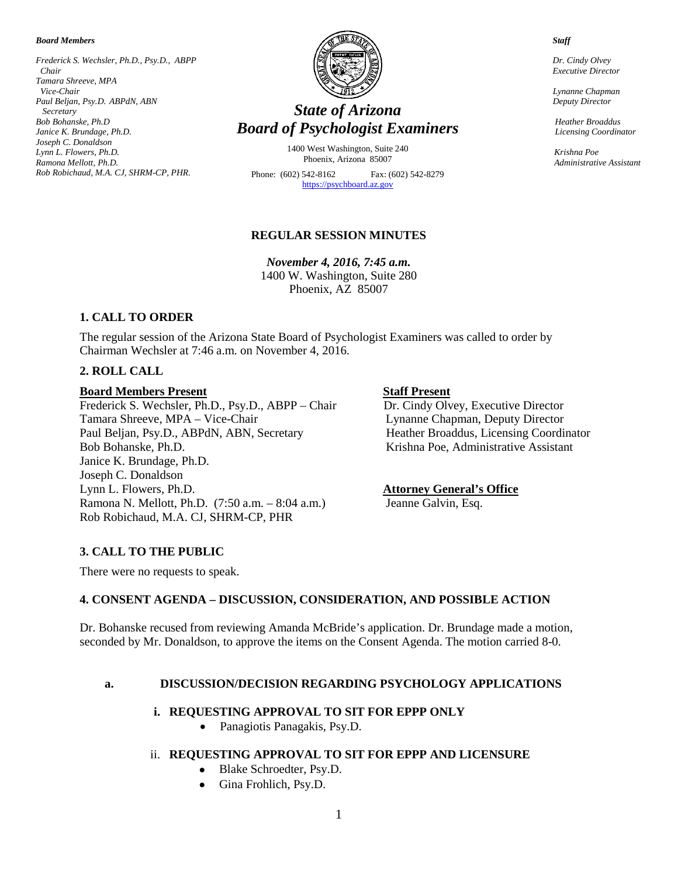*Board Members*

*Frederick S. Wechsler, Ph.D., Psy.D., ABPP Chair Tamara Shreeve, MPA Vice-Chair Paul Beljan, Psy.D. ABPdN, ABN Secretary Bob Bohanske, Ph.D Janice K. Brundage, Ph.D. Joseph C. Donaldson Lynn L. Flowers, Ph.D. Ramona Mellott, Ph.D. Rob Robichaud, M.A. CJ, SHRM-CP, PHR.*



# *State of Arizona Board of Psychologist Examiners*

1400 West Washington, Suite 240 Phoenix, Arizona 85007

Phone: (602) 542-8162 Fax: (602) 542-8279 [https://psychboard.az.gov](https://psychboard.az.gov/)

#### **REGULAR SESSION MINUTES**

*November 4, 2016, 7:45 a.m.*  1400 W. Washington, Suite 280 Phoenix, AZ 85007

# **1. CALL TO ORDER**

The regular session of the Arizona State Board of Psychologist Examiners was called to order by Chairman Wechsler at 7:46 a.m. on November 4, 2016.

#### **2. ROLL CALL**

#### **Board Members Present Staff Present**

Frederick S. Wechsler, Ph.D., Psy.D., ABPP – Chair Dr. Cindy Olvey, Executive Director Tamara Shreeve, MPA – Vice-Chair Lynanne Chapman, Deputy Director Paul Beljan, Psy.D., ABPdN, ABN, Secretary Heather Broaddus, Licensing Coordinator Bob Bohanske, Ph.D. Krishna Poe, Administrative Assistant Janice K. Brundage, Ph.D. Joseph C. Donaldson Lynn L. Flowers, Ph.D. **Attorney General's Office** Ramona N. Mellott, Ph.D. (7:50 a.m. – 8:04 a.m.) Jeanne Galvin, Esq. Rob Robichaud, M.A. CJ, SHRM-CP, PHR

# **3. CALL TO THE PUBLIC**

There were no requests to speak.

# **4. CONSENT AGENDA – DISCUSSION, CONSIDERATION, AND POSSIBLE ACTION**

Dr. Bohanske recused from reviewing Amanda McBride's application. Dr. Brundage made a motion, seconded by Mr. Donaldson, to approve the items on the Consent Agenda. The motion carried 8-0.

#### **a. DISCUSSION/DECISION REGARDING PSYCHOLOGY APPLICATIONS**

### **i. REQUESTING APPROVAL TO SIT FOR EPPP ONLY**

• Panagiotis Panagakis, Psy.D.

#### ii. **REQUESTING APPROVAL TO SIT FOR EPPP AND LICENSURE**

1

- Blake Schroedter, Psy.D.
- Gina Frohlich, Psy.D.

 *Staff*

 *Dr. Cindy Olvey Executive Director*

 *Lynanne Chapman Deputy Director*

 *Heather Broaddus Licensing Coordinator*

 *Krishna Poe Administrative Assistant*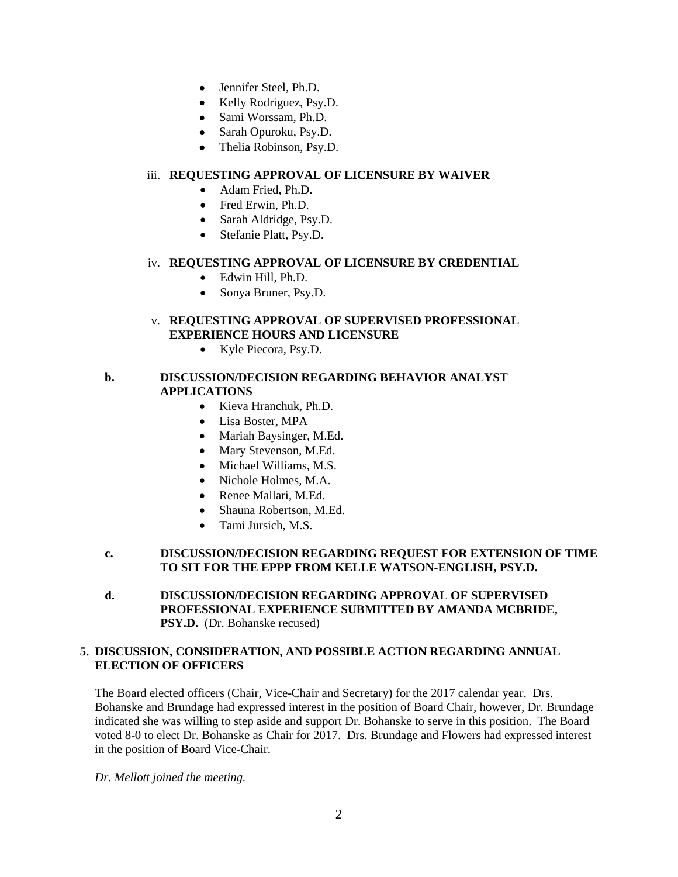- Jennifer Steel, Ph.D.
- Kelly Rodriguez, Psy.D.
- Sami Worssam, Ph.D.
- Sarah Opuroku, Psy.D.
- Thelia Robinson, Psy.D.

#### iii. **REQUESTING APPROVAL OF LICENSURE BY WAIVER**

- Adam Fried, Ph.D.
- Fred Erwin, Ph.D.
- Sarah Aldridge, Psy.D.
- Stefanie Platt, Psy.D.

#### iv. **REQUESTING APPROVAL OF LICENSURE BY CREDENTIAL**

- Edwin Hill, Ph.D.
- Sonya Bruner, Psy.D.

# v. **REQUESTING APPROVAL OF SUPERVISED PROFESSIONAL EXPERIENCE HOURS AND LICENSURE**

• Kyle Piecora, Psy.D.

#### **b. DISCUSSION/DECISION REGARDING BEHAVIOR ANALYST APPLICATIONS**

- Kieva Hranchuk, Ph.D.
- Lisa Boster, MPA
- Mariah Baysinger, M.Ed.
- Mary Stevenson, M.Ed.
- Michael Williams, M.S.
- Nichole Holmes, M.A.
- Renee Mallari, M.Ed.
- Shauna Robertson, M.Ed.
- Tami Jursich, M.S.

#### **c. DISCUSSION/DECISION REGARDING REQUEST FOR EXTENSION OF TIME TO SIT FOR THE EPPP FROM KELLE WATSON-ENGLISH, PSY.D.**

**d. DISCUSSION/DECISION REGARDING APPROVAL OF SUPERVISED PROFESSIONAL EXPERIENCE SUBMITTED BY AMANDA MCBRIDE, PSY.D.** (Dr. Bohanske recused)

#### **5. DISCUSSION, CONSIDERATION, AND POSSIBLE ACTION REGARDING ANNUAL ELECTION OF OFFICERS**

The Board elected officers (Chair, Vice-Chair and Secretary) for the 2017 calendar year. Drs. Bohanske and Brundage had expressed interest in the position of Board Chair, however, Dr. Brundage indicated she was willing to step aside and support Dr. Bohanske to serve in this position. The Board voted 8-0 to elect Dr. Bohanske as Chair for 2017. Drs. Brundage and Flowers had expressed interest in the position of Board Vice-Chair.

*Dr. Mellott joined the meeting.*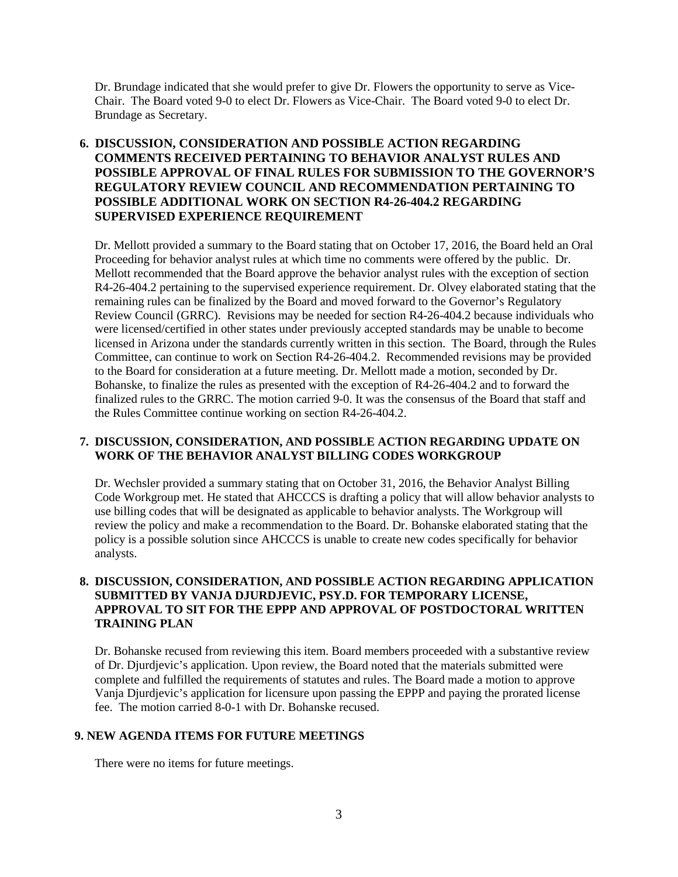Dr. Brundage indicated that she would prefer to give Dr. Flowers the opportunity to serve as Vice-Chair. The Board voted 9-0 to elect Dr. Flowers as Vice-Chair. The Board voted 9-0 to elect Dr. Brundage as Secretary.

# **6. DISCUSSION, CONSIDERATION AND POSSIBLE ACTION REGARDING COMMENTS RECEIVED PERTAINING TO BEHAVIOR ANALYST RULES AND POSSIBLE APPROVAL OF FINAL RULES FOR SUBMISSION TO THE GOVERNOR'S REGULATORY REVIEW COUNCIL AND RECOMMENDATION PERTAINING TO POSSIBLE ADDITIONAL WORK ON SECTION R4-26-404.2 REGARDING SUPERVISED EXPERIENCE REQUIREMENT**

Dr. Mellott provided a summary to the Board stating that on October 17, 2016, the Board held an Oral Proceeding for behavior analyst rules at which time no comments were offered by the public. Dr. Mellott recommended that the Board approve the behavior analyst rules with the exception of section R4-26-404.2 pertaining to the supervised experience requirement. Dr. Olvey elaborated stating that the remaining rules can be finalized by the Board and moved forward to the Governor's Regulatory Review Council (GRRC). Revisions may be needed for section R4-26-404.2 because individuals who were licensed/certified in other states under previously accepted standards may be unable to become licensed in Arizona under the standards currently written in this section. The Board, through the Rules Committee, can continue to work on Section R4-26-404.2. Recommended revisions may be provided to the Board for consideration at a future meeting. Dr. Mellott made a motion, seconded by Dr. Bohanske, to finalize the rules as presented with the exception of R4-26-404.2 and to forward the finalized rules to the GRRC. The motion carried 9-0. It was the consensus of the Board that staff and the Rules Committee continue working on section R4-26-404.2.

#### **7. DISCUSSION, CONSIDERATION, AND POSSIBLE ACTION REGARDING UPDATE ON WORK OF THE BEHAVIOR ANALYST BILLING CODES WORKGROUP**

Dr. Wechsler provided a summary stating that on October 31, 2016, the Behavior Analyst Billing Code Workgroup met. He stated that AHCCCS is drafting a policy that will allow behavior analysts to use billing codes that will be designated as applicable to behavior analysts. The Workgroup will review the policy and make a recommendation to the Board. Dr. Bohanske elaborated stating that the policy is a possible solution since AHCCCS is unable to create new codes specifically for behavior analysts.

### **8. DISCUSSION, CONSIDERATION, AND POSSIBLE ACTION REGARDING APPLICATION SUBMITTED BY VANJA DJURDJEVIC, PSY.D. FOR TEMPORARY LICENSE, APPROVAL TO SIT FOR THE EPPP AND APPROVAL OF POSTDOCTORAL WRITTEN TRAINING PLAN**

Dr. Bohanske recused from reviewing this item. Board members proceeded with a substantive review of Dr. Djurdjevic's application. Upon review, the Board noted that the materials submitted were complete and fulfilled the requirements of statutes and rules. The Board made a motion to approve Vanja Djurdjevic's application for licensure upon passing the EPPP and paying the prorated license fee. The motion carried 8-0-1 with Dr. Bohanske recused.

#### **9. NEW AGENDA ITEMS FOR FUTURE MEETINGS**

There were no items for future meetings.